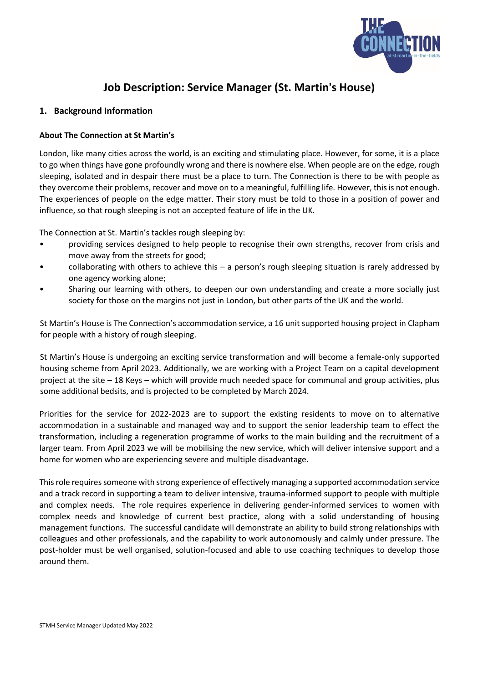

# **Job Description: Service Manager (St. Martin's House)**

#### **1. Background Information**

#### **About The Connection at St Martin's**

London, like many cities across the world, is an exciting and stimulating place. However, for some, it is a place to go when things have gone profoundly wrong and there is nowhere else. When people are on the edge, rough sleeping, isolated and in despair there must be a place to turn. The Connection is there to be with people as they overcome their problems, recover and move on to a meaningful, fulfilling life. However, this is not enough. The experiences of people on the edge matter. Their story must be told to those in a position of power and influence, so that rough sleeping is not an accepted feature of life in the UK.

The Connection at St. Martin's tackles rough sleeping by:

- providing services designed to help people to recognise their own strengths, recover from crisis and move away from the streets for good;
- collaborating with others to achieve this a person's rough sleeping situation is rarely addressed by one agency working alone;
- Sharing our learning with others, to deepen our own understanding and create a more socially just society for those on the margins not just in London, but other parts of the UK and the world.

St Martin's House is The Connection's accommodation service, a 16 unit supported housing project in Clapham for people with a history of rough sleeping.

St Martin's House is undergoing an exciting service transformation and will become a female-only supported housing scheme from April 2023. Additionally, we are working with a Project Team on a capital development project at the site – 18 Keys – which will provide much needed space for communal and group activities, plus some additional bedsits, and is projected to be completed by March 2024.

Priorities for the service for 2022-2023 are to support the existing residents to move on to alternative accommodation in a sustainable and managed way and to support the senior leadership team to effect the transformation, including a regeneration programme of works to the main building and the recruitment of a larger team. From April 2023 we will be mobilising the new service, which will deliver intensive support and a home for women who are experiencing severe and multiple disadvantage.

This role requires someone with strong experience of effectively managing a supported accommodation service and a track record in supporting a team to deliver intensive, trauma-informed support to people with multiple and complex needs. The role requires experience in delivering gender-informed services to women with complex needs and knowledge of current best practice, along with a solid understanding of housing management functions. The successful candidate will demonstrate an ability to build strong relationships with colleagues and other professionals, and the capability to work autonomously and calmly under pressure. The post-holder must be well organised, solution-focused and able to use coaching techniques to develop those around them.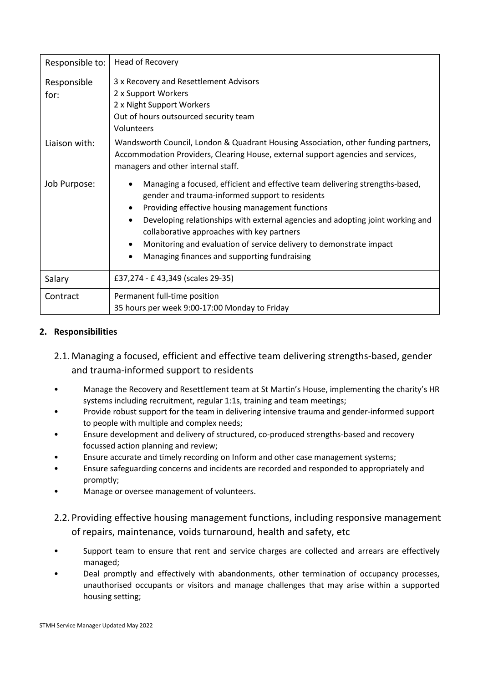| Responsible to:     | Head of Recovery                                                                                                                                                                                                                                                                                                                                                                                                                           |
|---------------------|--------------------------------------------------------------------------------------------------------------------------------------------------------------------------------------------------------------------------------------------------------------------------------------------------------------------------------------------------------------------------------------------------------------------------------------------|
| Responsible<br>for: | 3 x Recovery and Resettlement Advisors<br>2 x Support Workers<br>2 x Night Support Workers<br>Out of hours outsourced security team<br>Volunteers                                                                                                                                                                                                                                                                                          |
| Liaison with:       | Wandsworth Council, London & Quadrant Housing Association, other funding partners,<br>Accommodation Providers, Clearing House, external support agencies and services,<br>managers and other internal staff.                                                                                                                                                                                                                               |
| Job Purpose:        | Managing a focused, efficient and effective team delivering strengths-based,<br>gender and trauma-informed support to residents<br>Providing effective housing management functions<br>Developing relationships with external agencies and adopting joint working and<br>collaborative approaches with key partners<br>Monitoring and evaluation of service delivery to demonstrate impact<br>Managing finances and supporting fundraising |
| Salary              | £37,274 - £43,349 (scales 29-35)                                                                                                                                                                                                                                                                                                                                                                                                           |
| Contract            | Permanent full-time position<br>35 hours per week 9:00-17:00 Monday to Friday                                                                                                                                                                                                                                                                                                                                                              |

# **2. Responsibilities**

- 2.1. Managing a focused, efficient and effective team delivering strengths-based, gender and trauma-informed support to residents
- Manage the Recovery and Resettlement team at St Martin's House, implementing the charity's HR systems including recruitment, regular 1:1s, training and team meetings;
- Provide robust support for the team in delivering intensive trauma and gender-informed support to people with multiple and complex needs;
- Ensure development and delivery of structured, co-produced strengths-based and recovery focussed action planning and review;
- Ensure accurate and timely recording on Inform and other case management systems;
- Ensure safeguarding concerns and incidents are recorded and responded to appropriately and promptly;
- Manage or oversee management of volunteers.
- 2.2. Providing effective housing management functions, including responsive management of repairs, maintenance, voids turnaround, health and safety, etc
- Support team to ensure that rent and service charges are collected and arrears are effectively managed;
- Deal promptly and effectively with abandonments, other termination of occupancy processes, unauthorised occupants or visitors and manage challenges that may arise within a supported housing setting;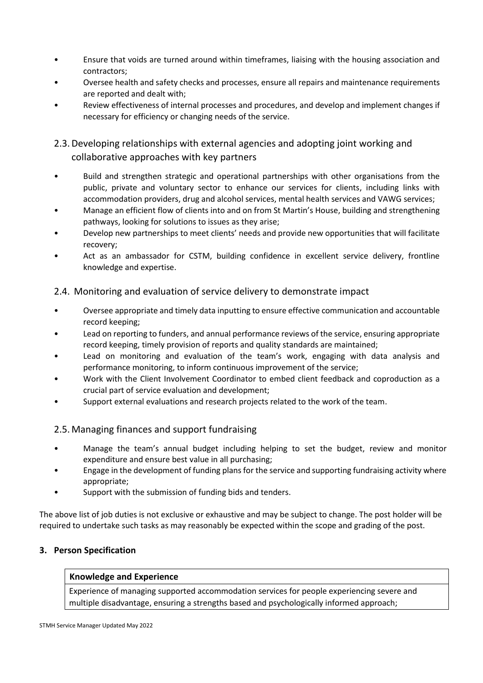- Ensure that voids are turned around within timeframes, liaising with the housing association and contractors;
- Oversee health and safety checks and processes, ensure all repairs and maintenance requirements are reported and dealt with;
- Review effectiveness of internal processes and procedures, and develop and implement changes if necessary for efficiency or changing needs of the service.

2.3.Developing relationships with external agencies and adopting joint working and collaborative approaches with key partners

- Build and strengthen strategic and operational partnerships with other organisations from the public, private and voluntary sector to enhance our services for clients, including links with accommodation providers, drug and alcohol services, mental health services and VAWG services;
- Manage an efficient flow of clients into and on from St Martin's House, building and strengthening pathways, looking for solutions to issues as they arise;
- Develop new partnerships to meet clients' needs and provide new opportunities that will facilitate recovery;
- Act as an ambassador for CSTM, building confidence in excellent service delivery, frontline knowledge and expertise.

# 2.4. Monitoring and evaluation of service delivery to demonstrate impact

- Oversee appropriate and timely data inputting to ensure effective communication and accountable record keeping;
- Lead on reporting to funders, and annual performance reviews of the service, ensuring appropriate record keeping, timely provision of reports and quality standards are maintained;
- Lead on monitoring and evaluation of the team's work, engaging with data analysis and performance monitoring, to inform continuous improvement of the service;
- Work with the Client Involvement Coordinator to embed client feedback and coproduction as a crucial part of service evaluation and development;
- Support external evaluations and research projects related to the work of the team.

# 2.5. Managing finances and support fundraising

- Manage the team's annual budget including helping to set the budget, review and monitor expenditure and ensure best value in all purchasing;
- Engage in the development of funding plans for the service and supporting fundraising activity where appropriate;
- Support with the submission of funding bids and tenders.

The above list of job duties is not exclusive or exhaustive and may be subject to change. The post holder will be required to undertake such tasks as may reasonably be expected within the scope and grading of the post.

# **3. Person Specification**

#### **Knowledge and Experience**

Experience of managing supported accommodation services for people experiencing severe and multiple disadvantage, ensuring a strengths based and psychologically informed approach;